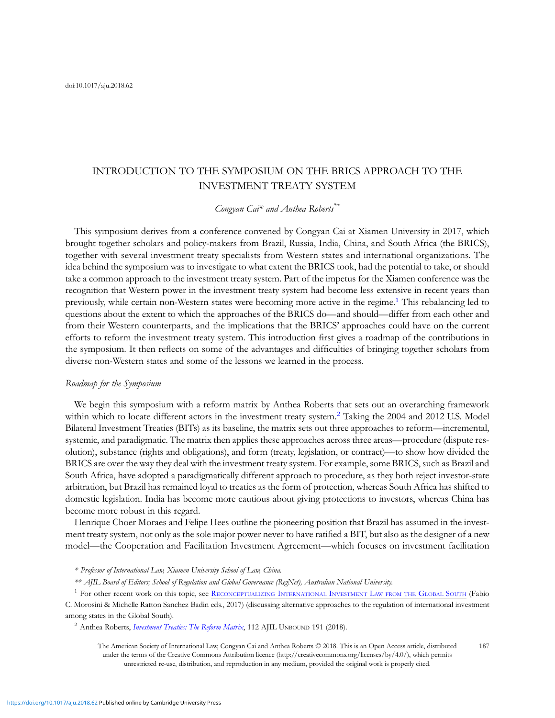# INTRODUCTION TO THE SYMPOSIUM ON THE BRICS APPROACH TO THE INVESTMENT TREATY SYSTEM

Congyan Cai<sup>\*</sup> and Anthea Roberts<sup>\*\*</sup>

This symposium derives from a conference convened by Congyan Cai at Xiamen University in 2017, which brought together scholars and policy-makers from Brazil, Russia, India, China, and South Africa (the BRICS), together with several investment treaty specialists from Western states and international organizations. The idea behind the symposium was to investigate to what extent the BRICS took, had the potential to take, or should take a common approach to the investment treaty system. Part of the impetus for the Xiamen conference was the recognition that Western power in the investment treaty system had become less extensive in recent years than previously, while certain non-Western states were becoming more active in the regime.<sup>1</sup> This rebalancing led to questions about the extent to which the approaches of the BRICS do—and should—differ from each other and from their Western counterparts, and the implications that the BRICS' approaches could have on the current efforts to reform the investment treaty system. This introduction first gives a roadmap of the contributions in the symposium. It then reflects on some of the advantages and difficulties of bringing together scholars from diverse non-Western states and some of the lessons we learned in the process.

## Roadmap for the Symposium

We begin this symposium with a reform matrix by Anthea Roberts that sets out an overarching framework within which to locate different actors in the investment treaty system.<sup>2</sup> Taking the 2004 and 2012 U.S. Model Bilateral Investment Treaties (BITs) as its baseline, the matrix sets out three approaches to reform—incremental, systemic, and paradigmatic. The matrix then applies these approaches across three areas—procedure (dispute resolution), substance (rights and obligations), and form (treaty, legislation, or contract)—to show how divided the BRICS are over the way they deal with the investment treaty system. For example, some BRICS, such as Brazil and South Africa, have adopted a paradigmatically different approach to procedure, as they both reject investor-state arbitration, but Brazil has remained loyal to treaties as the form of protection, whereas South Africa has shifted to domestic legislation. India has become more cautious about giving protections to investors, whereas China has become more robust in this regard.

Henrique Choer Moraes and Felipe Hees outline the pioneering position that Brazil has assumed in the investment treaty system, not only as the sole major power never to have ratified a BIT, but also as the designer of a new model—the Cooperation and Facilitation Investment Agreement—which focuses on investment facilitation

\* Professor of International Law, Xiamen University School of Law, China.

\*\* AJIL Board of Editors; School of Regulation and Global Governance (RegNet), Australian National University.

<sup>1</sup> For other recent work on this topic, see [RECONCEPTUALIZING](https://www.cambridge.org/core/books/reconceptualizing-international-investment-law-from-the-global-south/6A195D18C780DF59800303BA4CB48FCA) INTERNATIONAL INVESTMENT LAW FROM THE GLOBAL SOUTH (Fabio C. Morosini & Michelle Ratton Sanchez Badin eds., 2017) (discussing alternative approaches to the regulation of international investment

among states in the Global South).

 $^{2}$  Anthea Roberts, *[Investment Treaties: The Reform Matrix](https://doi.org/10.1017/aju.2018.61)*, 112 AJIL UNBOUND 191 (2018).

The American Society of International Law, Congyan Cai and Anthea Roberts © 2018. This is an Open Access article, distributed under the terms of the Creative Commons Attribution licence (http://creativecommons.org/licenses/by/4.0/), which permits unrestricted re-use, distribution, and reproduction in any medium, provided the original work is properly cited. 187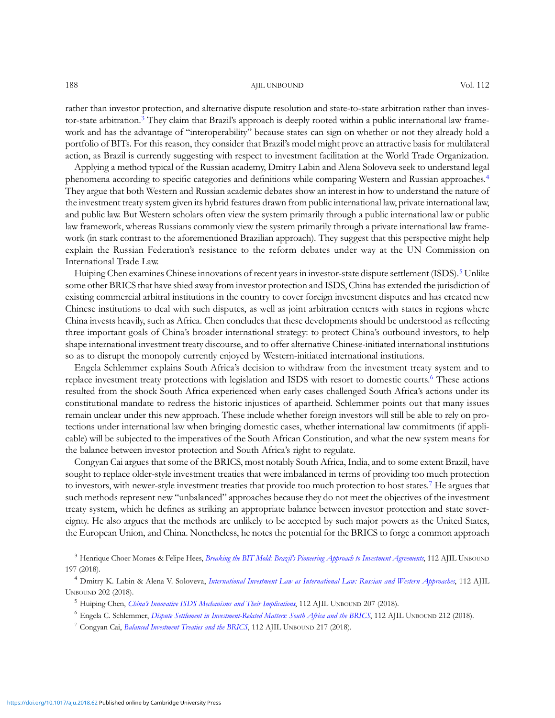#### 188 AJIL UNBOUND Vol. 112

rather than investor protection, and alternative dispute resolution and state-to-state arbitration rather than investor-state arbitration.<sup>3</sup> They claim that Brazil's approach is deeply rooted within a public international law framework and has the advantage of "interoperability" because states can sign on whether or not they already hold a portfolio of BITs. For this reason, they consider that Brazil's model might prove an attractive basis for multilateral action, as Brazil is currently suggesting with respect to investment facilitation at the World Trade Organization.

Applying a method typical of the Russian academy, Dmitry Labin and Alena Soloveva seek to understand legal phenomena according to specific categories and definitions while comparing Western and Russian approaches.<sup>4</sup> They argue that both Western and Russian academic debates show an interest in how to understand the nature of the investment treaty system given its hybrid features drawn from public international law, private international law, and public law. But Western scholars often view the system primarily through a public international law or public law framework, whereas Russians commonly view the system primarily through a private international law framework (in stark contrast to the aforementioned Brazilian approach). They suggest that this perspective might help explain the Russian Federation's resistance to the reform debates under way at the UN Commission on International Trade Law.

Huiping Chen examines Chinese innovations of recent years in investor-state dispute settlement (ISDS).<sup>5</sup> Unlike some other BRICS that have shied away from investor protection and ISDS, China has extended the jurisdiction of existing commercial arbitral institutions in the country to cover foreign investment disputes and has created new Chinese institutions to deal with such disputes, as well as joint arbitration centers with states in regions where China invests heavily, such as Africa. Chen concludes that these developments should be understood as reflecting three important goals of China's broader international strategy: to protect China's outbound investors, to help shape international investment treaty discourse, and to offer alternative Chinese-initiated international institutions so as to disrupt the monopoly currently enjoyed by Western-initiated international institutions.

Engela Schlemmer explains South Africa's decision to withdraw from the investment treaty system and to replace investment treaty protections with legislation and ISDS with resort to domestic courts.<sup>6</sup> These actions resulted from the shock South Africa experienced when early cases challenged South Africa's actions under its constitutional mandate to redress the historic injustices of apartheid. Schlemmer points out that many issues remain unclear under this new approach. These include whether foreign investors will still be able to rely on protections under international law when bringing domestic cases, whether international law commitments (if applicable) will be subjected to the imperatives of the South African Constitution, and what the new system means for the balance between investor protection and South Africa's right to regulate.

Congyan Cai argues that some of the BRICS, most notably South Africa, India, and to some extent Brazil, have sought to replace older-style investment treaties that were imbalanced in terms of providing too much protection to investors, with newer-style investment treaties that provide too much protection to host states.<sup>7</sup> He argues that such methods represent new "unbalanced" approaches because they do not meet the objectives of the investment treaty system, which he defines as striking an appropriate balance between investor protection and state sovereignty. He also argues that the methods are unlikely to be accepted by such major powers as the United States, the European Union, and China. Nonetheless, he notes the potential for the BRICS to forge a common approach

<sup>3</sup> Henrique Choer Moraes & Felipe Hees, Breaking the BIT Mold: Brazil'[s Pioneering Approach to Investment Agreements](https://doi.org/10.1017/aju.2018.59), 112 AJIL UNBOUND 197 (2018).

<sup>4</sup> Dmitry K. Labin & Alena V. Soloveva, [International Investment Law as International Law: Russian and Western Approaches](https://doi.org/10.1017/aju.2018.58), 112 AJIL UNBOUND 202 (2018).

<sup>5</sup> Huiping Chen, *China'[s Innovative ISDS Mechanisms and Their Implications](https://doi.org/10.1017/aju.2018.57)*, 112 AJIL UNBOUND 207 (2018).

<sup>6</sup> Engela C. Schlemmer, *[Dispute Settlement in Investment-Related Matters: South Africa and the BRICS](https://doi.org/10.1017/aju.2018.63)*, 112 AJIL UNBOUND 212 (2018).

<sup>7</sup> Congyan Cai, *[Balanced Investment Treaties and the BRICS](https://doi.org/10.1017/aju.2018.64)*, 112 AJIL UNBOUND 217 (2018).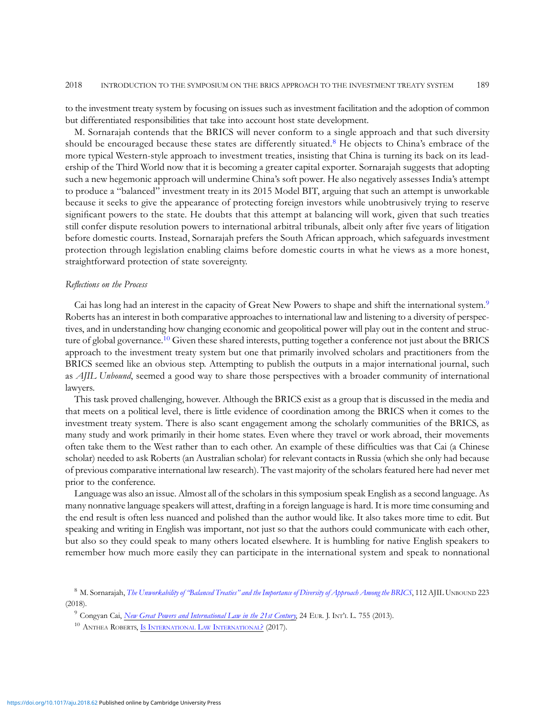to the investment treaty system by focusing on issues such as investment facilitation and the adoption of common but differentiated responsibilities that take into account host state development.

M. Sornarajah contends that the BRICS will never conform to a single approach and that such diversity should be encouraged because these states are differently situated.<sup>8</sup> He objects to China's embrace of the more typical Western-style approach to investment treaties, insisting that China is turning its back on its leadership of the Third World now that it is becoming a greater capital exporter. Sornarajah suggests that adopting such a new hegemonic approach will undermine China's soft power. He also negatively assesses India's attempt to produce a "balanced" investment treaty in its 2015 Model BIT, arguing that such an attempt is unworkable because it seeks to give the appearance of protecting foreign investors while unobtrusively trying to reserve significant powers to the state. He doubts that this attempt at balancing will work, given that such treaties still confer dispute resolution powers to international arbitral tribunals, albeit only after five years of litigation before domestic courts. Instead, Sornarajah prefers the South African approach, which safeguards investment protection through legislation enabling claims before domestic courts in what he views as a more honest, straightforward protection of state sovereignty.

## Reflections on the Process

Cai has long had an interest in the capacity of Great New Powers to shape and shift the international system.<sup>9</sup> Roberts has an interest in both comparative approaches to international law and listening to a diversity of perspectives, and in understanding how changing economic and geopolitical power will play out in the content and structure of global governance.<sup>10</sup> Given these shared interests, putting together a conference not just about the BRICS approach to the investment treaty system but one that primarily involved scholars and practitioners from the BRICS seemed like an obvious step. Attempting to publish the outputs in a major international journal, such as AJIL Unbound, seemed a good way to share those perspectives with a broader community of international lawyers.

This task proved challenging, however. Although the BRICS exist as a group that is discussed in the media and that meets on a political level, there is little evidence of coordination among the BRICS when it comes to the investment treaty system. There is also scant engagement among the scholarly communities of the BRICS, as many study and work primarily in their home states. Even where they travel or work abroad, their movements often take them to the West rather than to each other. An example of these difficulties was that Cai (a Chinese scholar) needed to ask Roberts (an Australian scholar) for relevant contacts in Russia (which she only had because of previous comparative international law research). The vast majority of the scholars featured here had never met prior to the conference.

Language was also an issue. Almost all of the scholars in this symposium speak English as a second language. As many nonnative language speakers will attest, drafting in a foreign language is hard. It is more time consuming and the end result is often less nuanced and polished than the author would like. It also takes more time to edit. But speaking and writing in English was important, not just so that the authors could communicate with each other, but also so they could speak to many others located elsewhere. It is humbling for native English speakers to remember how much more easily they can participate in the international system and speak to nonnational

<sup>&</sup>lt;sup>8</sup> M. Sornarajah, *The Unworkability of "Balanced Treaties" [and the Importance of Diversity of Approach Among the BRICS](https://doi.org/10.1017/aju.2018.60)*, 112 AJIL UNBOUND 223 (2018).

<sup>&</sup>lt;sup>9</sup> Congyan Cai, [New Great Powers and International Law in the 21st Century](http://www.ejil.org/pdfs/24/3/2423.pdf), 24 EUR. J. INT'L L. 755 (2013).

<sup>&</sup>lt;sup>10</sup> ANTHEA ROBERTS, IS INTERNATIONAL LAW [INTERNATIONAL?](https://global.oup.com/academic/product/is-international-law-international-9780190696412?cc=de&lang=en&) (2017).